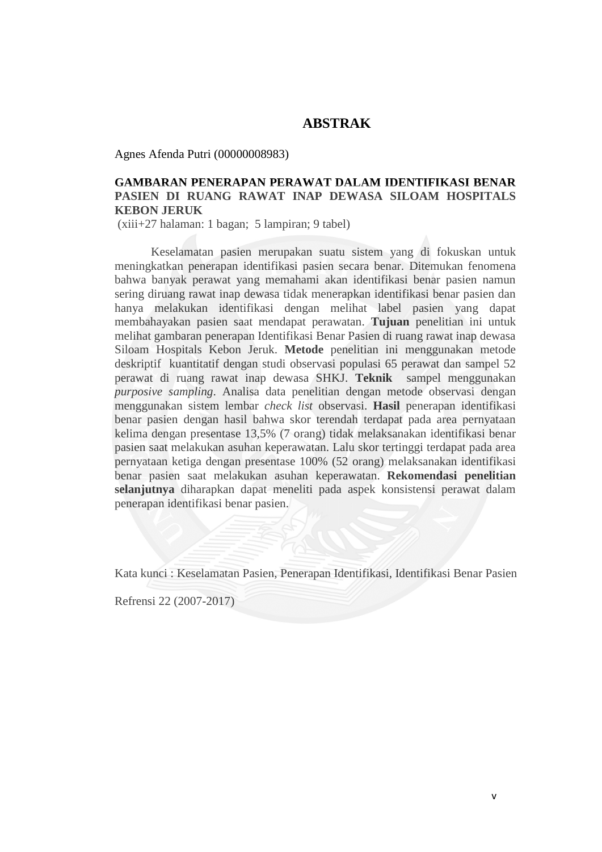## **ABSTRAK**

Agnes Afenda Putri (00000008983)

## **GAMBARAN PENERAPAN PERAWAT DALAM IDENTIFIKASI BENAR PASIEN DI RUANG RAWAT INAP DEWASA SILOAM HOSPITALS KEBON JERUK**

(xiii+27 halaman: 1 bagan; 5 lampiran; 9 tabel)

Keselamatan pasien merupakan suatu sistem yang di fokuskan untuk meningkatkan penerapan identifikasi pasien secara benar. Ditemukan fenomena bahwa banyak perawat yang memahami akan identifikasi benar pasien namun sering diruang rawat inap dewasa tidak menerapkan identifikasi benar pasien dan hanya melakukan identifikasi dengan melihat label pasien yang dapat membahayakan pasien saat mendapat perawatan. **Tujuan** penelitian ini untuk melihat gambaran penerapan Identifikasi Benar Pasien di ruang rawat inap dewasa Siloam Hospitals Kebon Jeruk. **Metode** penelitian ini menggunakan metode deskriptif kuantitatif dengan studi observasi populasi 65 perawat dan sampel 52 perawat di ruang rawat inap dewasa SHKJ. **Teknik** sampel menggunakan *purposive sampling*. Analisa data penelitian dengan metode observasi dengan menggunakan sistem lembar *check list* observasi. **Hasil** penerapan identifikasi benar pasien dengan hasil bahwa skor terendah terdapat pada area pernyataan kelima dengan presentase 13,5% (7 orang) tidak melaksanakan identifikasi benar pasien saat melakukan asuhan keperawatan. Lalu skor tertinggi terdapat pada area pernyataan ketiga dengan presentase 100% (52 orang) melaksanakan identifikasi benar pasien saat melakukan asuhan keperawatan. **Rekomendasi penelitian selanjutnya** diharapkan dapat meneliti pada aspek konsistensi perawat dalam penerapan identifikasi benar pasien.

Kata kunci : Keselamatan Pasien, Penerapan Identifikasi, Identifikasi Benar Pasien

Refrensi 22 (2007-2017)